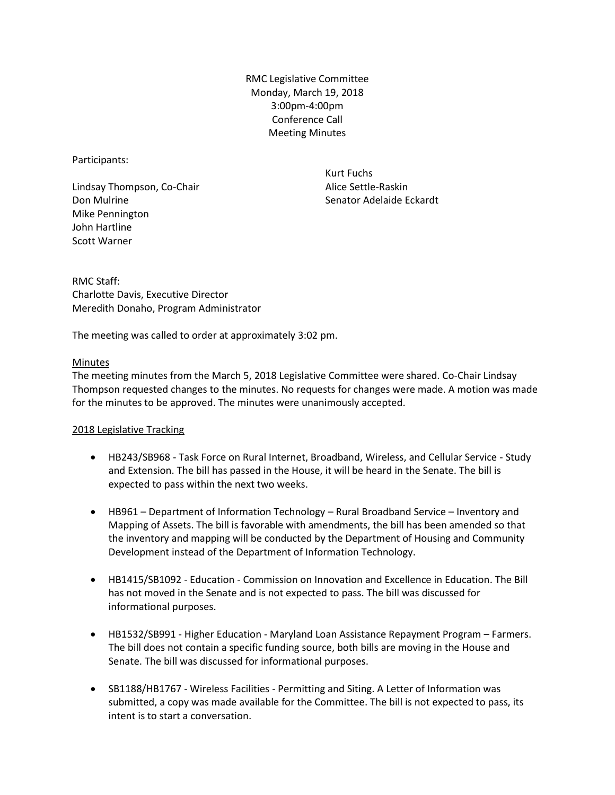RMC Legislative Committee Monday, March 19, 2018 3:00pm-4:00pm Conference Call Meeting Minutes

Participants:

Lindsay Thompson, Co-Chair Don Mulrine Mike Pennington John Hartline Scott Warner

Kurt Fuchs Alice Settle-Raskin Senator Adelaide Eckardt

RMC Staff: Charlotte Davis, Executive Director Meredith Donaho, Program Administrator

The meeting was called to order at approximately 3:02 pm.

## Minutes

The meeting minutes from the March 5, 2018 Legislative Committee were shared. Co-Chair Lindsay Thompson requested changes to the minutes. No requests for changes were made. A motion was made for the minutes to be approved. The minutes were unanimously accepted.

## 2018 Legislative Tracking

- HB243/SB968 Task Force on Rural Internet, Broadband, Wireless, and Cellular Service Study and Extension. The bill has passed in the House, it will be heard in the Senate. The bill is expected to pass within the next two weeks.
- HB961 Department of Information Technology Rural Broadband Service Inventory and Mapping of Assets. The bill is favorable with amendments, the bill has been amended so that the inventory and mapping will be conducted by the Department of Housing and Community Development instead of the Department of Information Technology.
- HB1415/SB1092 Education Commission on Innovation and Excellence in Education. The Bill has not moved in the Senate and is not expected to pass. The bill was discussed for informational purposes.
- HB1532/SB991 Higher Education Maryland Loan Assistance Repayment Program Farmers. The bill does not contain a specific funding source, both bills are moving in the House and Senate. The bill was discussed for informational purposes.
- SB1188/HB1767 Wireless Facilities Permitting and Siting. A Letter of Information was submitted, a copy was made available for the Committee. The bill is not expected to pass, its intent is to start a conversation.